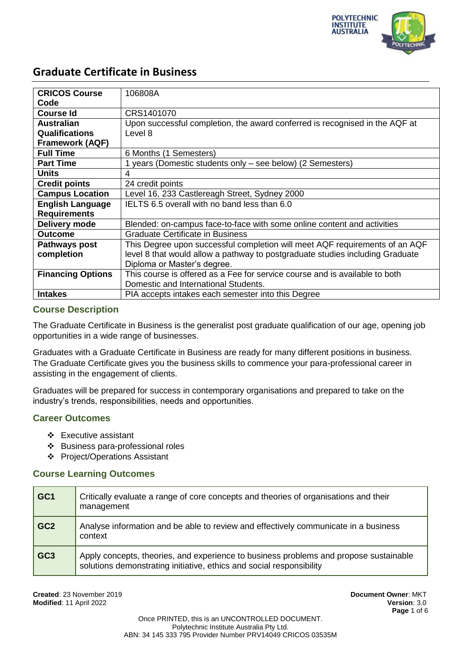

| <b>CRICOS Course</b>     | 106808A                                                                       |
|--------------------------|-------------------------------------------------------------------------------|
| Code                     |                                                                               |
| <b>Course Id</b>         | CRS1401070                                                                    |
| <b>Australian</b>        | Upon successful completion, the award conferred is recognised in the AQF at   |
| <b>Qualifications</b>    | Level 8                                                                       |
| <b>Framework (AQF)</b>   |                                                                               |
| <b>Full Time</b>         | 6 Months (1 Semesters)                                                        |
| <b>Part Time</b>         | 1 years (Domestic students only – see below) (2 Semesters)                    |
| <b>Units</b>             | 4                                                                             |
| <b>Credit points</b>     | 24 credit points                                                              |
| <b>Campus Location</b>   | Level 16, 233 Castlereagh Street, Sydney 2000                                 |
| <b>English Language</b>  | IELTS 6.5 overall with no band less than 6.0                                  |
| <b>Requirements</b>      |                                                                               |
| Delivery mode            | Blended: on-campus face-to-face with some online content and activities       |
| <b>Outcome</b>           | <b>Graduate Certificate in Business</b>                                       |
| Pathways post            | This Degree upon successful completion will meet AQF requirements of an AQF   |
| completion               | level 8 that would allow a pathway to postgraduate studies including Graduate |
|                          | Diploma or Master's degree.                                                   |
| <b>Financing Options</b> | This course is offered as a Fee for service course and is available to both   |
|                          | Domestic and International Students.                                          |
| <b>Intakes</b>           | PIA accepts intakes each semester into this Degree                            |

### **Course Description**

The Graduate Certificate in Business is the generalist post graduate qualification of our age, opening job opportunities in a wide range of businesses.

Graduates with a Graduate Certificate in Business are ready for many different positions in business. The Graduate Certificate gives you the business skills to commence your para-professional career in assisting in the engagement of clients.

Graduates will be prepared for success in contemporary organisations and prepared to take on the industry's trends, responsibilities, needs and opportunities.

### **Career Outcomes**

- Executive assistant
- Business para-professional roles
- Project/Operations Assistant

#### **Course Learning Outcomes**

| GC <sub>1</sub> | Critically evaluate a range of core concepts and theories of organisations and their<br>management                                                            |
|-----------------|---------------------------------------------------------------------------------------------------------------------------------------------------------------|
| GC <sub>2</sub> | Analyse information and be able to review and effectively communicate in a business<br>context                                                                |
| GC <sub>3</sub> | Apply concepts, theories, and experience to business problems and propose sustainable<br>solutions demonstrating initiative, ethics and social responsibility |

**Created**: 23 November 2019 **Document Owner**: MKT **Modified**: 11 April 2022 **Version**: 3.0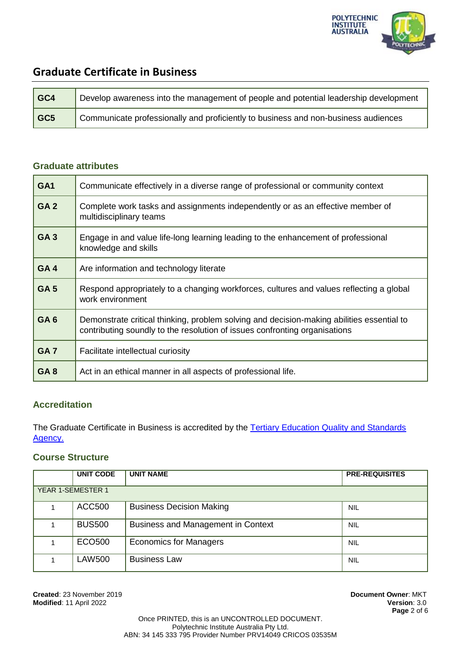

| $ $ GC4 | Develop awareness into the management of people and potential leadership development |
|---------|--------------------------------------------------------------------------------------|
| $ $ GC5 | Communicate professionally and proficiently to business and non-business audiences   |

### **Graduate attributes**

| GA <sub>1</sub> | Communicate effectively in a diverse range of professional or community context                                                                                         |  |
|-----------------|-------------------------------------------------------------------------------------------------------------------------------------------------------------------------|--|
| GA <sub>2</sub> | Complete work tasks and assignments independently or as an effective member of<br>multidisciplinary teams                                                               |  |
| GA <sub>3</sub> | Engage in and value life-long learning leading to the enhancement of professional<br>knowledge and skills                                                               |  |
| GA4             | Are information and technology literate                                                                                                                                 |  |
| GA <sub>5</sub> | Respond appropriately to a changing workforces, cultures and values reflecting a global<br>work environment                                                             |  |
| GA <sub>6</sub> | Demonstrate critical thinking, problem solving and decision-making abilities essential to<br>contributing soundly to the resolution of issues confronting organisations |  |
| GA <sub>7</sub> | Facilitate intellectual curiosity                                                                                                                                       |  |
| GA <sub>8</sub> | Act in an ethical manner in all aspects of professional life.                                                                                                           |  |

## **Accreditation**

The Graduate Certificate in Business is accredited by the [Tertiary Education Quality and Standards](https://www.teqsa.gov.au/national-register/course/polytechnic-institute-australia-pty-ltd-4)  [Agency.](https://www.teqsa.gov.au/national-register/course/polytechnic-institute-australia-pty-ltd-4)

### **Course Structure**

|                          | <b>UNIT CODE</b> | <b>UNIT NAME</b>                          | <b>PRE-REQUISITES</b> |
|--------------------------|------------------|-------------------------------------------|-----------------------|
| <b>YEAR 1-SEMESTER 1</b> |                  |                                           |                       |
|                          | <b>ACC500</b>    | <b>Business Decision Making</b>           | <b>NIL</b>            |
|                          | <b>BUS500</b>    | <b>Business and Management in Context</b> | <b>NIL</b>            |
|                          | ECO500           | <b>Economics for Managers</b>             | <b>NIL</b>            |
|                          | <b>LAW500</b>    | <b>Business Law</b>                       | <b>NIL</b>            |

**Created**: 23 November 2019 **Document Owner**: MKT **Modified: 11 April 2022**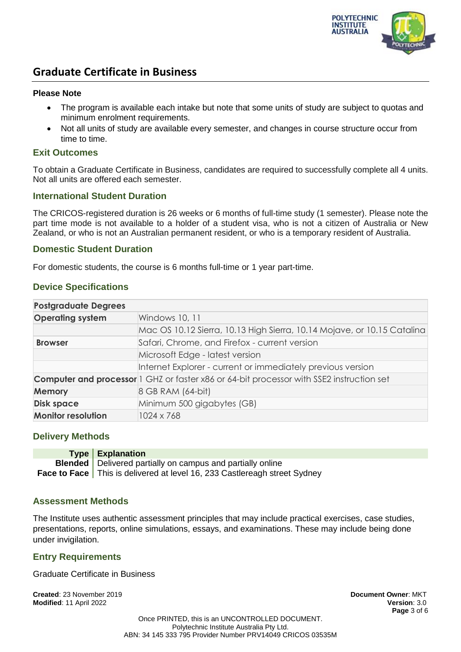

#### **Please Note**

- The program is available each intake but note that some units of study are subject to quotas and minimum enrolment requirements.
- Not all units of study are available every semester, and changes in course structure occur from time to time.

#### **Exit Outcomes**

To obtain a Graduate Certificate in Business, candidates are required to successfully complete all 4 units. Not all units are offered each semester.

#### **International Student Duration**

The CRICOS-registered duration is 26 weeks or 6 months of full-time study (1 semester). Please note the part time mode is not available to a holder of a student visa, who is not a citizen of Australia or New Zealand, or who is not an Australian permanent resident, or who is a temporary resident of Australia.

#### **Domestic Student Duration**

For domestic students, the course is 6 months full-time or 1 year part-time.

### **Device Specifications**

| <b>Postgraduate Degrees</b> |                                                                                                 |
|-----------------------------|-------------------------------------------------------------------------------------------------|
| <b>Operating system</b>     | Windows 10, 11                                                                                  |
|                             | Mac OS 10.12 Sierra, 10.13 High Sierra, 10.14 Mojave, or 10.15 Catalina                         |
| <b>Browser</b>              | Safari, Chrome, and Firefox - current version                                                   |
|                             | Microsoft Edge - latest version                                                                 |
|                             | Internet Explorer - current or immediately previous version                                     |
|                             | <b>Computer and processor</b> 1 GHZ or faster x86 or 64-bit processor with SSE2 instruction set |
| <b>Memory</b>               | 8 GB RAM (64-bit)                                                                               |
| <b>Disk space</b>           | Minimum 500 gigabytes (GB)                                                                      |
| <b>Monitor resolution</b>   | 1024 x 768                                                                                      |

#### **Delivery Methods**

| <b>Type Explanation</b>                                                          |
|----------------------------------------------------------------------------------|
| <b>Blended</b>   Delivered partially on campus and partially online              |
| <b>Face to Face</b> This is delivered at level 16, 233 Castlereagh street Sydney |

#### **Assessment Methods**

The Institute uses authentic assessment principles that may include practical exercises, case studies, presentations, reports, online simulations, essays, and examinations. These may include being done under invigilation.

#### **Entry Requirements**

Graduate Certificate in Business

**Created**: 23 November 2019 **Document Owner**: MKT **Modified**: 11 April 2022 **Version**: 3.0

**Page** 3 of 6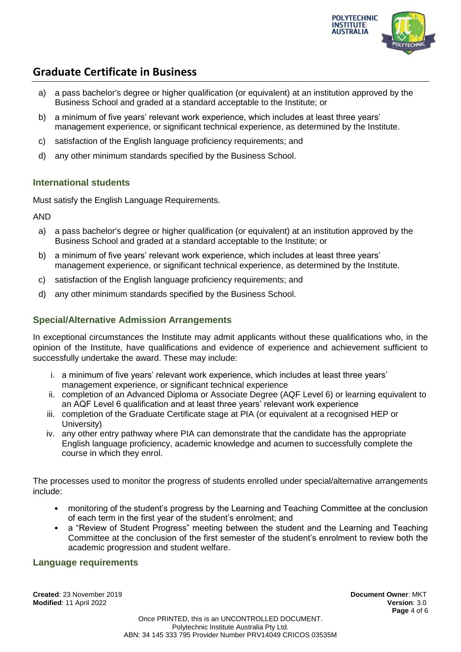

- a) a pass bachelor's degree or higher qualification (or equivalent) at an institution approved by the Business School and graded at a standard acceptable to the Institute; or
- b) a minimum of five years' relevant work experience, which includes at least three years' management experience, or significant technical experience, as determined by the Institute.
- c) satisfaction of the English language proficiency requirements; and
- d) any other minimum standards specified by the Business School.

## **International students**

Must satisfy the English Language Requirements.

AND

- a) a pass bachelor's degree or higher qualification (or equivalent) at an institution approved by the Business School and graded at a standard acceptable to the Institute; or
- b) a minimum of five years' relevant work experience, which includes at least three years' management experience, or significant technical experience, as determined by the Institute.
- c) satisfaction of the English language proficiency requirements; and
- d) any other minimum standards specified by the Business School.

### **Special/Alternative Admission Arrangements**

In exceptional circumstances the Institute may admit applicants without these qualifications who, in the opinion of the Institute, have qualifications and evidence of experience and achievement sufficient to successfully undertake the award. These may include:

- i. a minimum of five years' relevant work experience, which includes at least three years' management experience, or significant technical experience
- ii. completion of an Advanced Diploma or Associate Degree (AQF Level 6) or learning equivalent to an AQF Level 6 qualification and at least three years' relevant work experience
- iii. completion of the Graduate Certificate stage at PIA (or equivalent at a recognised HEP or University)
- iv. any other entry pathway where PIA can demonstrate that the candidate has the appropriate English language proficiency, academic knowledge and acumen to successfully complete the course in which they enrol.

The processes used to monitor the progress of students enrolled under special/alternative arrangements include:

- monitoring of the student's progress by the Learning and Teaching Committee at the conclusion of each term in the first year of the student's enrolment; and
- a "Review of Student Progress" meeting between the student and the Learning and Teaching Committee at the conclusion of the first semester of the student's enrolment to review both the academic progression and student welfare.

#### **Language requirements**

**Created**: 23 November 2019 **Document Owner**: MKT **Modified**: 11 April 2022 **Version**: 3.0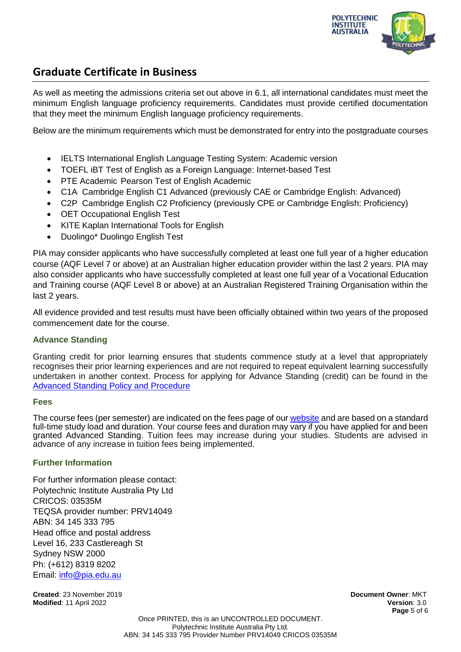

As well as meeting the admissions criteria set out above in 6.1, all international candidates must meet the minimum English language proficiency requirements. Candidates must provide certified documentation that they meet the minimum English language proficiency requirements.

Below are the minimum requirements which must be demonstrated for entry into the postgraduate courses

- IELTS International English Language Testing System: Academic version
- TOEFL iBT Test of English as a Foreign Language: Internet-based Test
- PTE Academic Pearson Test of English Academic
- C1A Cambridge English C1 Advanced (previously CAE or Cambridge English: Advanced)
- C2P Cambridge English C2 Proficiency (previously CPE or Cambridge English: Proficiency)
- OET Occupational English Test
- KITE Kaplan International Tools for English
- Duolingo\* Duolingo English Test

PIA may consider applicants who have successfully completed at least one full year of a higher education course (AQF Level 7 or above) at an Australian higher education provider within the last 2 years. PIA may also consider applicants who have successfully completed at least one full year of a Vocational Education and Training course (AQF Level 8 or above) at an Australian Registered Training Organisation within the last 2 years.

All evidence provided and test results must have been officially obtained within two years of the proposed commencement date for the course.

#### **Advance Standing**

Granting credit for prior learning ensures that students commence study at a level that appropriately recognises their prior learning experiences and are not required to repeat equivalent learning successfully undertaken in another context. Process for applying for Advance Standing (credit) can be found in the [Advanced Standing Policy and Procedure](https://docs.pia.edu.au/download-process.html)

#### **Fees**

The course fees (per semester) are indicated on the fees page of ou[r website](https://pia.edu.au/apply/fees/) and are based on a standard full-time study load and duration. Your course fees and duration may vary if you have applied for and been granted Advanced Standing. Tuition fees may increase during your studies. Students are advised in advance of any increase in tuition fees being implemented.

#### **Further Information**

For further information please contact: Polytechnic Institute Australia Pty Ltd CRICOS: 03535M TEQSA provider number: PRV14049 ABN: 34 145 333 795 Head office and postal address Level 16, 233 Castlereagh St Sydney NSW 2000 Ph: (+612) 8319 8202 Email: [info@pia.edu.au](mailto:info@pia.edu.au)

**Created**: 23 November 2019 **Document Owner**: MKT **Modified**: 11 April 2022 **Version**: 3.0

**Page** 5 of 6